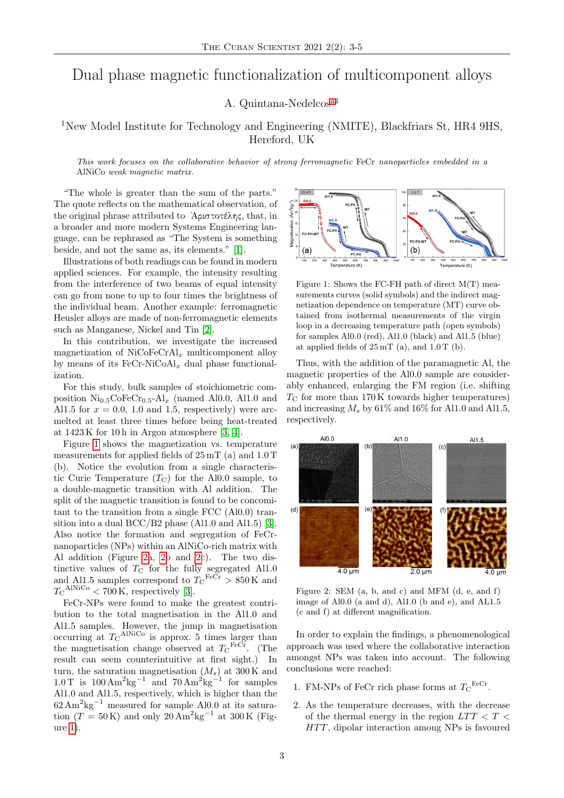## Dual phase magnetic functionalization of multicomponent alloys

A. Quintana-Nedelcos[a1](#page-1-0)

## <sup>1</sup>New Model Institute for Technology and Engineering (NMITE), Blackfriars St, HR4 9HS, Hereford, UK

This work focuses on the collaborative behavior of strong ferromagnetic FeCr nanoparticles embedded in a AlNiCo weak magnetic matrix.

"The whole is greater than the sum of the parts." The quote reflects on the mathematical observation, of the original phrase attributed to ᾿Αριστοτέλης, that, in a broader and more modern Systems Engineering language, can be rephrased as "The System is something beside, and not the same as, its elements." [\[1\]](#page-1-1).

Illustrations of both readings can be found in modern applied sciences. For example, the intensity resulting from the interference of two beams of equal intensity can go from none to up to four times the brightness of the individual beam. Another example: ferromagnetic Heusler alloys are made of non-ferromagnetic elements such as Manganese, Nickel and Tin [\[2\]](#page-1-2).

In this contribution, we investigate the increased magnetization of  $\text{NiCoFeCrAl}_x$  multicomponent alloy by means of its  $\text{FeCr-NiCoAl}_x$  dual phase functionalization.

For this study, bulk samples of stoichiometric composition  $\mathrm{Ni_{0.5}CoFeCr_{0.5}}\text{-Al}_x$  (named Al0.0, Al1.0 and Al1.5 for  $x = 0.0, 1.0$  and 1.5, respectively) were arcmelted at least three times before being heat-treated at  $1423 \text{ K}$  for 10 h in Argon atmosphere [\[3,](#page-1-3) [4\]](#page-1-4).

Figure [1](#page-0-0) shows the magnetization vs. temperature measurements for applied fields of 25 mT (a) and 1.0 T (b). Notice the evolution from a single characteristic Curie Temperature  $(T<sub>C</sub>)$  for the Al0.0 sample, to a double-magnetic transition with Al addition. The split of the magnetic transition is found to be concomitant to the transition from a single FCC (Al0.0) transition into a dual BCC/B2 phase (Al1.0 and Al1.5) [\[3\]](#page-1-3). Also notice the formation and segregation of FeCrnanoparticles (NPs) within an AlNiCo-rich matrix with Al addition (Figure [2a](#page-0-1), [2b](#page-0-1) and [2c](#page-0-1)). The two distinctive values of  $T_{\rm C}$  for the fully segregated Al1.0 and Al1.5 samples correspond to  $T_{\text{C}}^{\text{FeCr}} > 850 \text{ K}$  and  $T_{\rm C}^{\rm AlNiCo} < 700\,{\rm K},$  respectively [\[3\]](#page-1-3).

FeCr-NPs were found to make the greatest contribution to the total magnetisation in the Al1.0 and Al1.5 samples. However, the jump in magnetisation occurring at  $T_{\rm C}^{\rm AlNiCo}$  is approx. 5 times larger than the magnetisation change observed at  $T_{\text{C}}^{\text{FeCr}}$ . (The result can seem counterintuitive at first sight.) In turn, the saturation magnetisation  $(M_s)$  at 300 K and  $1.0\,\mathrm{T}$  is  $100\,\mathrm{Am}^2\mathrm{kg}^{-1}$  and  $70\,\mathrm{Am}^2\mathrm{kg}^{-1}$  for samples Al1.0 and Al1.5, respectively, which is higher than the  $62 \text{ Am}^2 \text{kg}^{-1}$  measured for sample Al0.0 at its saturation  $(T = 50 \text{ K})$  and only 20 Am<sup>2</sup>kg<sup>-1</sup> at 300 K (Figure [1\)](#page-0-0).

<span id="page-0-0"></span>

Figure 1: Shows the FC-FH path of direct M(T) measurements curves (solid symbols) and the indirect magnetization dependence on temperature (MT) curve obtained from isothermal measurements of the virgin loop in a decreasing temperature path (open symbols) for samples Al0.0 (red), Al1.0 (black) and Al1.5 (blue) at applied fields of  $25 \,\mathrm{mT}$  (a), and  $1.0 \,\mathrm{T}$  (b).

Thus, with the addition of the paramagnetic Al, the magnetic properties of the Al0.0 sample are considerably enhanced, enlarging the FM region (i.e. shifting  $T_{\rm C}$  for more than 170 K towards higher temperatures) and increasing  $M_s$  by 61% and 16% for Al1.0 and Al1.5, respectively.

<span id="page-0-1"></span>

Figure 2: SEM (a, b, and c) and MFM (d, e, and f) image of Al0.0 (a and d), Al1.0 (b and e), and AL1.5 (c and f) at different magnification.

In order to explain the findings, a phenomenological approach was used where the collaborative interaction amongst NPs was taken into account. The following conclusions were reached:

- 1. FM-NPs of FeCr rich phase forms at  $T_{\rm C}^{\rm FeCr}$ .
- 2. As the temperature decreases, with the decrease of the thermal energy in the region  $LTT < T <$  $HTT$ , dipolar interaction among NPs is favoured